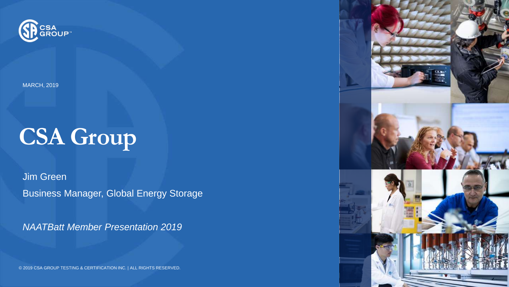

MARCH, 2019

# **CSA Group**

Jim Green Business Manager, Global Energy Storage

*NAATBatt Member Presentation 2019*

© 2019 CSA GROUP TESTING & CERTIFICATION INC. | ALL RIGHTS RESERVED.

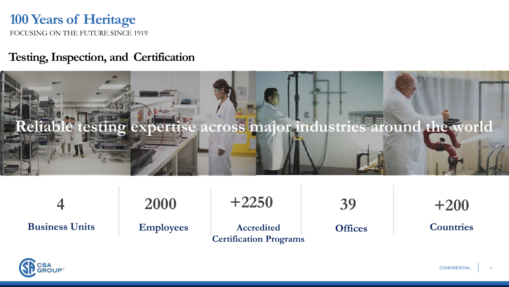#### FOCUSING ON THE FUTURE SINCE 1919 **100 Years of Heritage**

#### **Testing, Inspection, and Certification**



|                       | 2000             | $+2250$                                     | 39             | $+200$           |
|-----------------------|------------------|---------------------------------------------|----------------|------------------|
| <b>Business Units</b> | <b>Employees</b> | Accredited<br><b>Certification Programs</b> | <b>Offices</b> | <b>Countries</b> |

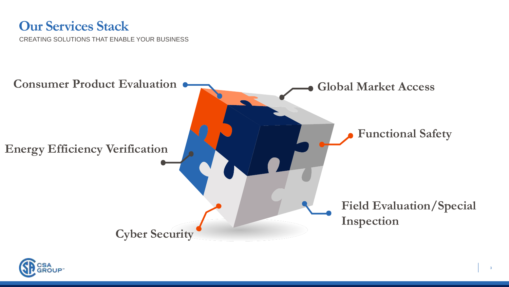## **Our Services Stack**

CREATING SOLUTIONS THAT ENABLE YOUR BUSINESS



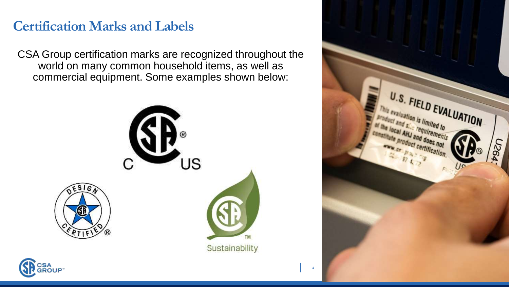# **Certification Marks and Labels**

CSA Group certification marks are recognized throughout the world on many common household items, as well as commercial equipment. Some examples shown below:



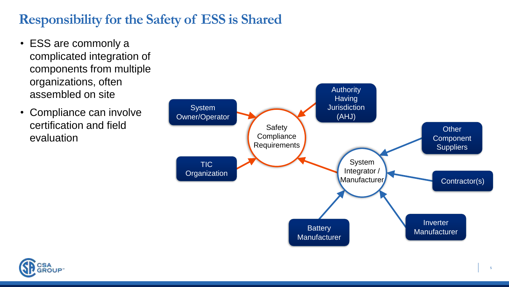# **Responsibility for the Safety of ESS is Shared**

- ESS are commonly a complicated integration of components from multiple organizations, often assembled on site
- Compliance can involve certification and field evaluation



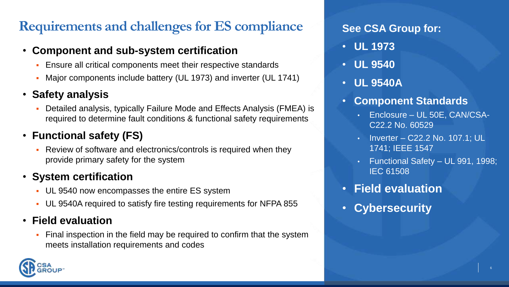# **Requirements and challenges for ES compliance See CSA Group for:**

#### • **Component and sub-system certification**

- **Ensure all critical components meet their respective standards**
- Major components include battery (UL 1973) and inverter (UL 1741)

#### • **Safety analysis**

Detailed analysis, typically Failure Mode and Effects Analysis (FMEA) is required to determine fault conditions & functional safety requirements

### • **Functional safety (FS)**

Review of software and electronics/controls is required when they provide primary safety for the system

#### • **System certification**

- **UL 9540 now encompasses the entire ES system**
- UL 9540A required to satisfy fire testing requirements for NFPA 855

#### • **Field evaluation**

Final inspection in the field may be required to confirm that the system meets installation requirements and codes

- **UL 1973**
- **UL 9540**
- **UL 9540A**
- **Component Standards**
	- Enclosure UL 50E, CAN/CSA-C22.2 No. 60529
	- Inverter C22.2 No. 107.1; UL 1741; IEEE 1547
	- Functional Safety UL 991, 1998; IEC 61508
- **Field evaluation**
- **Cybersecurity**

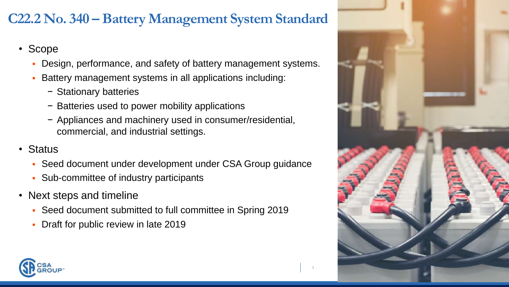# **C22.2 No. 340 – Battery Management System Standard**

- Scope
	- Design, performance, and safety of battery management systems.
	- Battery management systems in all applications including:
		- − Stationary batteries
		- − Batteries used to power mobility applications
		- − Appliances and machinery used in consumer/residential, commercial, and industrial settings.
- Status
	- Seed document under development under CSA Group guidance
	- Sub-committee of industry participants
- Next steps and timeline
	- Seed document submitted to full committee in Spring 2019
	- Draft for public review in late 2019



7